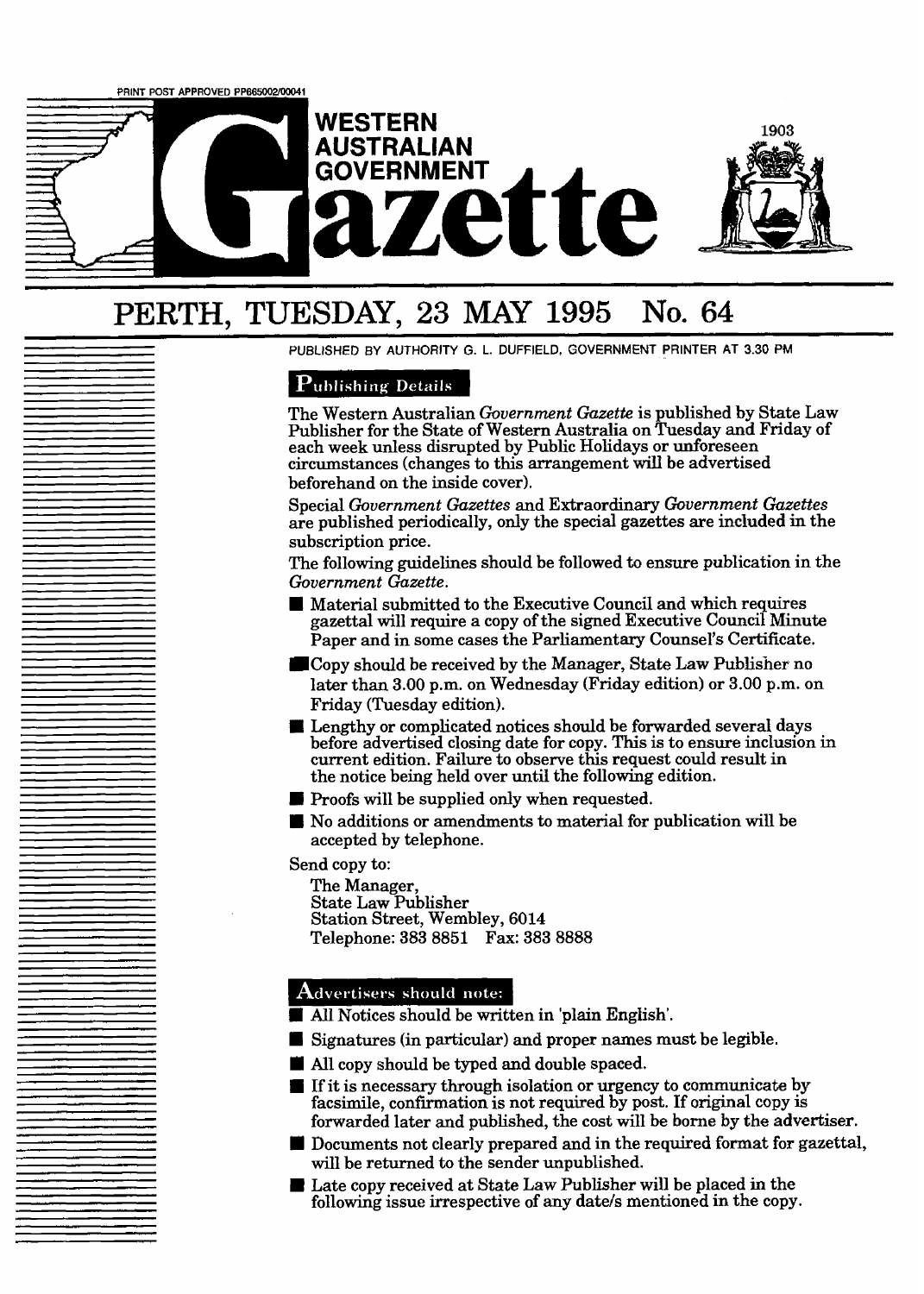

# PERTH, **TUESDAY, 23 MAY 1995 No. 64**

**PUBLISHED BY AUTHORITY G.** L. **DUFFIELD, GOVERNMENT PRINTER AT 3.30 PM** 

## **Publishing Details**

The Western Australian *Government Gazette* is published by State Law Publisher for the State of Western Australia on Tuesday and Friday of each week unless disrupted by Public Holidays or unforeseen circumstances (changes to this arrangement will be advertised beforehand on the inside cover).

Special *Government Gazettes* and Extraordinary *Government Gazettes*  are published periodically, only the special gazettes are included in the subscription price.

The following guidelines should be followed to ensure publication in the *Government Gazette.* 

- I Preference Council and which in the Following suidelines should be followed to ensure publication in the Following gazette.<br> **I** Material submitted to the Executive Council and which requires gazettal will require a copy Paper and in some cases the Parliamentary Counsel's Certificate.
- Copy should be received by the Manager, State **Law** Publisher no later than **3.00** p.m. on Wednesday (Friday edition) or **3.00** pm. on Friday (Tuesday edition).
- Lengthy or complicated notices should be forwarded several days before advertised closing date for copy. This is to ensure inclusion in current edition. Failure to observe this request could result in<br>the notice being held over until the following edition.<br>Proofs will be supplied only when requested.<br>No additions or amendments to material for publication w the notice being held over until the following edition.
- **D** Proofs will be supplied only when requested.
- accepted by telephone.

Send copy to:

The Manager, State Law Publisher Station Street, Wembley, 6014 Telephone: 383 8851 Fax: **383** 8888

- **I** Advertisers should note:<br> **I** All Notices should be written in 'plain English'. **I All Notices should be written in 'plain Englis<br>
<b>I** Signatures (in particular) and proper names<br> **II** All copy should be typed and double spaced,
- **I All Notices should note:**<br>
 **All Notices should be written in 'plain English'.**<br>
 Signatures (in particular) and proper names must be legible.<br>
 All copy should be typed and double spaced.
- 
- All Notices should be written in plain English.<br>■ Signatures (in particular) and proper names must be legible.<br>■ If it is necessary through isolation or urgency to communicate by facsimile, confirmation is not required forwarded later and published, the cost will be borne by the advertiser.
- **M** Documents not clearly prepared and in the required format for gazettal, will be returned to the sender unpublished.
- Late copy received at State Law Publisher will be placed in the following issue irrespective of any date/s mentioned in the copy.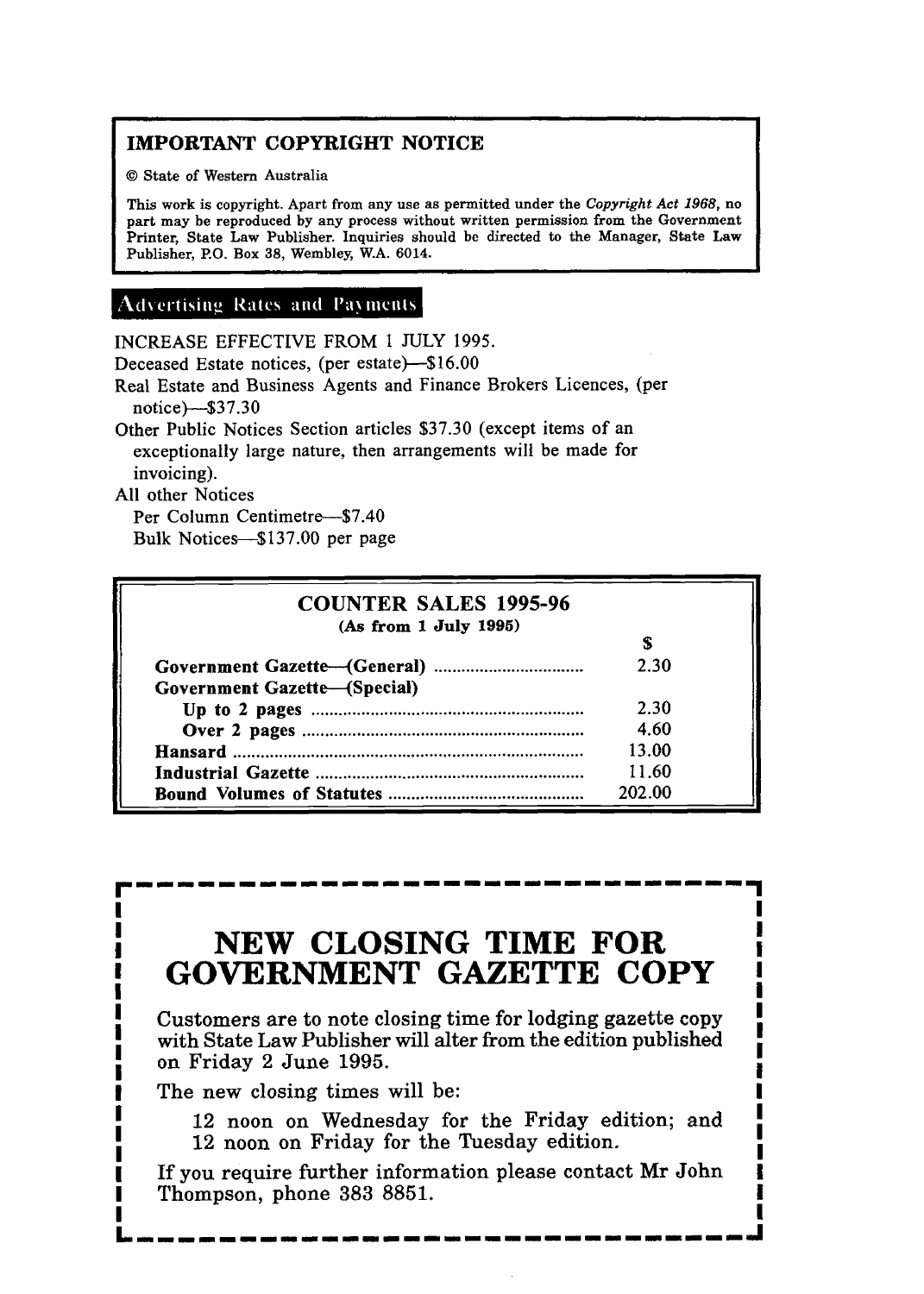## **IMPORTANT COPYRIGHT NOTICE**

O **State of Western Australia** 

**This work is copyright. Apart from any use as permitted under the Copyright** *Act* **1968, no part may be reproduced by any process without written permission from the Government Printer, State Law Publisher. Inquiries should be directed to the Manager, State Law Publisher, P.O. Box 38, Wembley, W.A. 6014.** 

## **Advertising Rates and Payments**

INCREASE EFFECTIVE FROM 1 JULY 1995.

Deceased Estate notices, (per estate)-\$16.00

Real Estate and Business Agents and Finance Brokers Licences, (per notice)--\$3 7.30

Other Public Notices Section articles \$37.30 (except items of an exceptionally large nature, then arrangements will be made for invoicing).

All other Notices

Per Column Centimetre-\$7.40

Bulk Notices-\$137.00 per page

| <b>COUNTER SALES 1995-96</b><br>(As from 1 July 1995) |        |
|-------------------------------------------------------|--------|
| Government Gazette-(Special)                          | 2.30   |
|                                                       | 2.30   |
|                                                       | 4.60   |
|                                                       | 13.00  |
|                                                       | 11.60  |
|                                                       | 202.00 |

## **NEW CLOSING TIME FOR GOVERNMENT GAZETTE COPY**

Customers are to note closing time for lodging gazette copy with State Law Publisher will alter from the edition published on Friday 2 June 1995.

The new closing times will be:

12 noon on Wednesday for the Friday edition; and 12 noon on Friday for the Tuesday edition.

If you require further information please contact Mr John Thompson, phone 383 8851,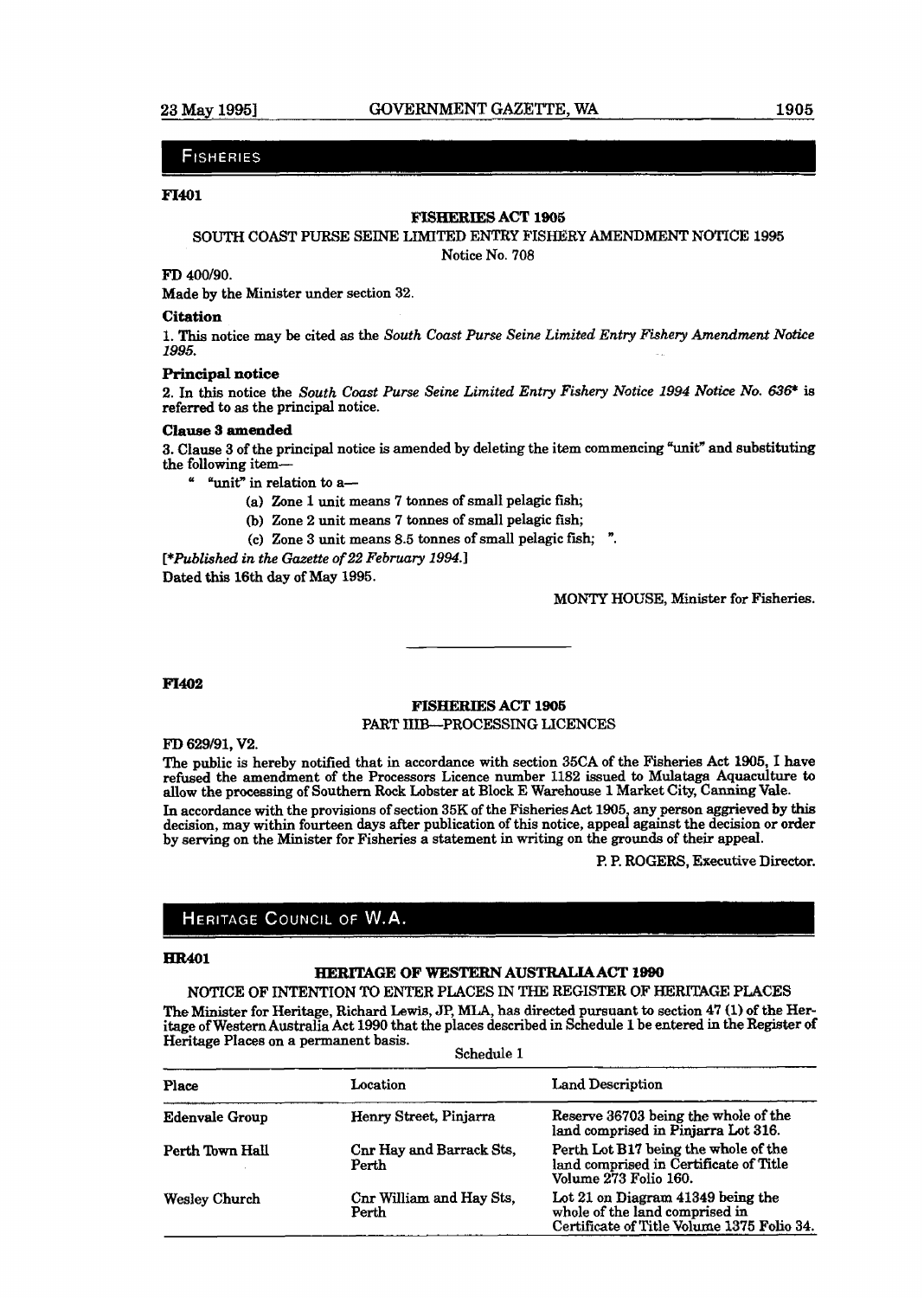#### **FISHERIES**

#### **F1401**

### **FISHERIES** ACT **l906**

#### SOUTH COAST PURSE SEINE **LIMITED ENTRY** FISHERY **AMENDMENT NOTICE** 1995

Notice No. 708

### **FD** 400190.

Made by the Minister under section 32.

#### **Citation**

**1. This** notice may be cited as the *South Coast Purse Seine* **Limited** *Entry Fishery Amendment Notice 1995.* 

#### **Principal notice**

2, **In this** notice the *South Coast Purse Seine Limited Entry Fishery Notice 1994 Notice No.* **636\*** is referred to **as** the principal notice.

#### **Clause S amended**

**3.** Clause **3** of the principal notice is amended by deleting the item commencing **"unit"** and **substituting** 

- " "unit" in relation to a-
	- (a) Zone 1 unit means 7 tonnes of small pelagic fish;
	- (b) Zone 2 unit means 7 tonnes of small pelagic fish;
	- (C) Zone **3** unit means 8.5 tonnes of small pelagic fish; ".

*[\*Published in the Gazette of 22 Febmry 1994.1*  Dated **this** 16th day of May 1995.

MONTY HOUSE, Minister for Fisheries.

#### **F1402**

#### **FISHERIES ACT 1905**  PART IIIB-PROCESSING **LICENCES**

FD 629/91, V2.

The public is hereby notified that in accordance with section 35CA of the Fisheries Act **1905,** I have **refused** the amendment of the Processors Licence number 1182 issued to Mulataga Aquaculture **to**  allow the processing of Southern Rock Lobster at Block E Warehouse **1** Market City, **Cnnning Vale.** 

In accordance with the provisions of section **35K** of the Fisheries Act **1905,** any person aggrieved by this decision, may within fourteen days after publication of this notice, appeal against the decision or order by serving on the Minister for Fisheries a statement in writing on the grounds of their appeal.

P. P. **ROGERS,** Executive **Director.** 

### HERITAGE COUNCIL OF W.A.

#### **HR401**

#### **HERITAGE OF WESTERN AUSTRALIA ACT 1990**

NOTICE OF **INTENTION** TO ENTER PLACES IN THE **REGISTER** OF **HERITAGE PLACES**  The Minister for Heritage, Richard **Lewis,** JP, **MLA, has** directed pursuant to section 47 **(1)** of the Heritage of Western Australia Act 1990 that the places described in Schedule **1** be **entered** in the **Register** of

| Heritage Places on a permanent basis.<br>Schedule 1 |                                   |                                                                                                                   |
|-----------------------------------------------------|-----------------------------------|-------------------------------------------------------------------------------------------------------------------|
| Place                                               | Location                          | Land Description                                                                                                  |
| <b>Edenvale Group</b>                               | Henry Street, Pinjarra            | Reserve 36703 being the whole of the<br>land comprised in Pinjarra Lot 316.                                       |
| Perth Town Hall                                     | Cnr Hay and Barrack Sts,<br>Perth | Perth Lot B17 being the whole of the<br>land comprised in Certificate of Title<br>Volume 273 Folio 160.           |
| <b>Wesley Church</b>                                | Cnr William and Hay Sts,<br>Perth | Lot 21 on Diagram 41349 being the<br>whole of the land comprised in<br>Certificate of Title Volume 1375 Folio 34. |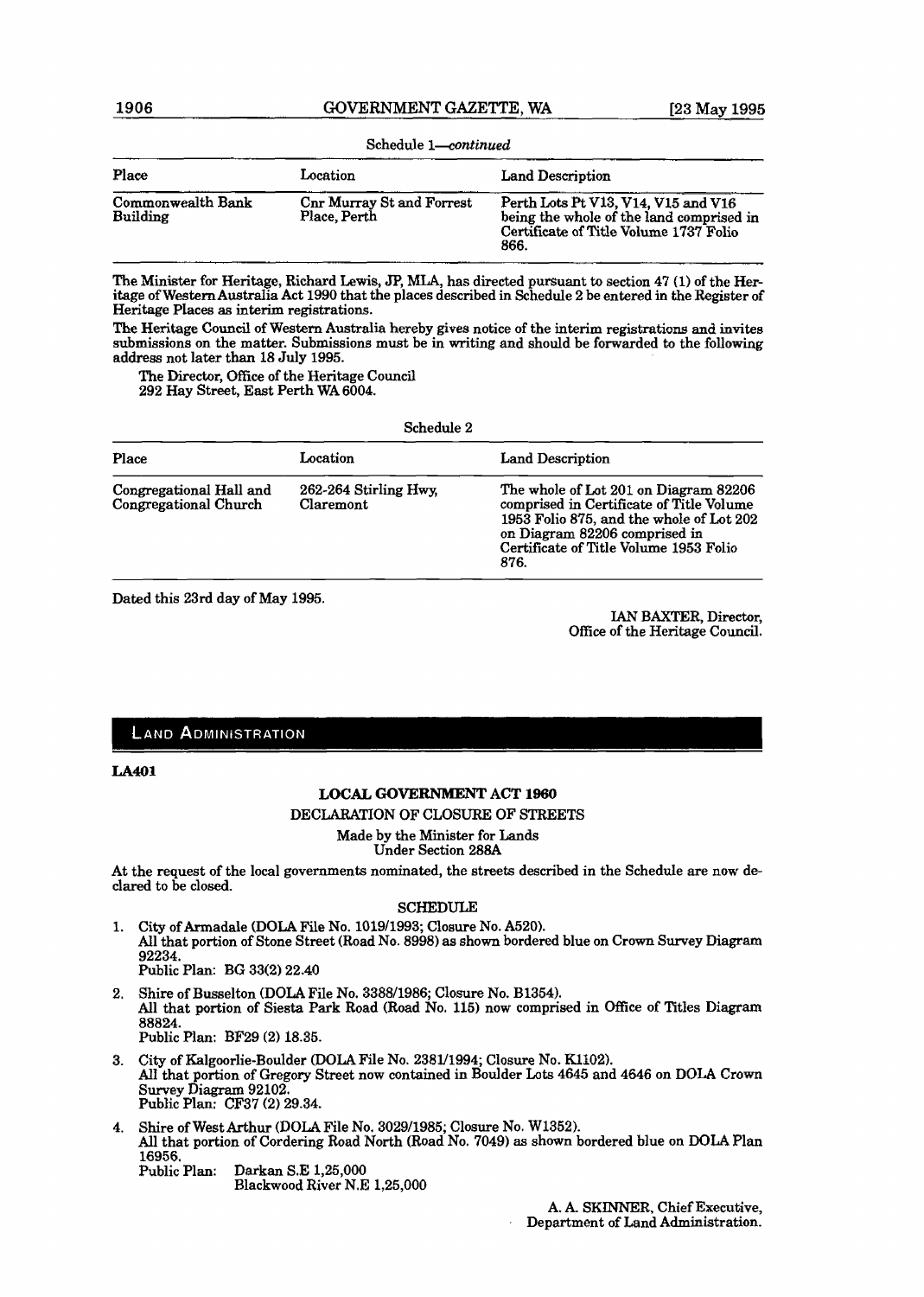| Schedule 1-continued                 |                                                  |                                                                                                                                   |
|--------------------------------------|--------------------------------------------------|-----------------------------------------------------------------------------------------------------------------------------------|
| Place                                | Location                                         | Land Description                                                                                                                  |
| Commonwealth Bank<br><b>Building</b> | <b>Cnr Murray St and Forrest</b><br>Place, Perth | Perth Lots Pt V13, V14, V15 and V16<br>being the whole of the land comprised in<br>Certificate of Title Volume 1737 Folio<br>866. |

**The** Minister for Heritage, Richard **Lewis,** JP, **MLA,** has directed pursuant to section **47 (1)** of **the** Heritage of **WesternAustralia** Act **1990** that the places described in Schedule **2** be entered **in** the Register of Heritage Places as interim registrations.

**The** Heritage Council of Western Australia hereby gives notice of the interim registrations and invites submissions on the matter. Submissions must be in writing and should be forwarded to the following address not later than **18 July 1995.** 

**The Diredor, Office** of the Heritage Council **292 Hay** Street, East Perth WA **6004.** 

Schedule **2** 

| Place                                            | Location                           | <b>Land Description</b>                                                                                                                                                                                          |
|--------------------------------------------------|------------------------------------|------------------------------------------------------------------------------------------------------------------------------------------------------------------------------------------------------------------|
| Congregational Hall and<br>Congregational Church | 262-264 Stirling Hwy.<br>Claremont | The whole of Lot 201 on Diagram 82206<br>comprised in Certificate of Title Volume<br>1953 Folio 875, and the whole of Lot 202<br>on Diagram 82206 comprised in<br>Certificate of Title Volume 1953 Folio<br>876. |

Dated this 23rd day of May **1995.** 

IAN BAXTER, Director, Office of the Heritage Council.

### **LAND ADMINISTRATION**

#### **LA401**

#### **LOCAL GOVERNMENT** ACT **1960**

DECLARATION OF CLOSURE OF STREETS

Made by the Minister for Lands Under Section **288A** 

At the request of the local governments nominated, the streets described in the Schedule are now declared to be closed.

#### SCHEDULE

- **City** of Armadale **(DOLA** File No. **101911993;** Closure No. **A520).**  All that portion of Stone Street (Road No. **8998)** as shown bordered blue on Crown Survey Diagram **92234.**  Public Plan: **BE 33(2) 22.40**
- Shire of Busselton (DOLA File No. **338811986;** Closure No. **B1354).**  All that portion of Siesta Park Road (Road No. 115) now comprised in Office of Titles Diagram **88824.**  Public Plan: **BF29 (2) 18.35.**
- City of Kalgoorlie-Boulder (DOLA File No. **238U1994;** Closure No. **K1102).**  AlI **that** portion of Gregory Street now contained in Boulder **Lots 4645** and **4645** on DOLA **Crown**  Survey **Diagram 92102.**  Public **Plan: CF37 (2) 29.34.**
- Shire of West Arthur (DOLA File No. **302911985;** Closure No. **W1352).**  All that portion of Cordering Road North (Road No. **7049)** as shown bordered blue on **DOLA** Plan 16956.<br>Public Plan: Darkan S.E 1,25,000

Blackwood River **N.E 1,25,000**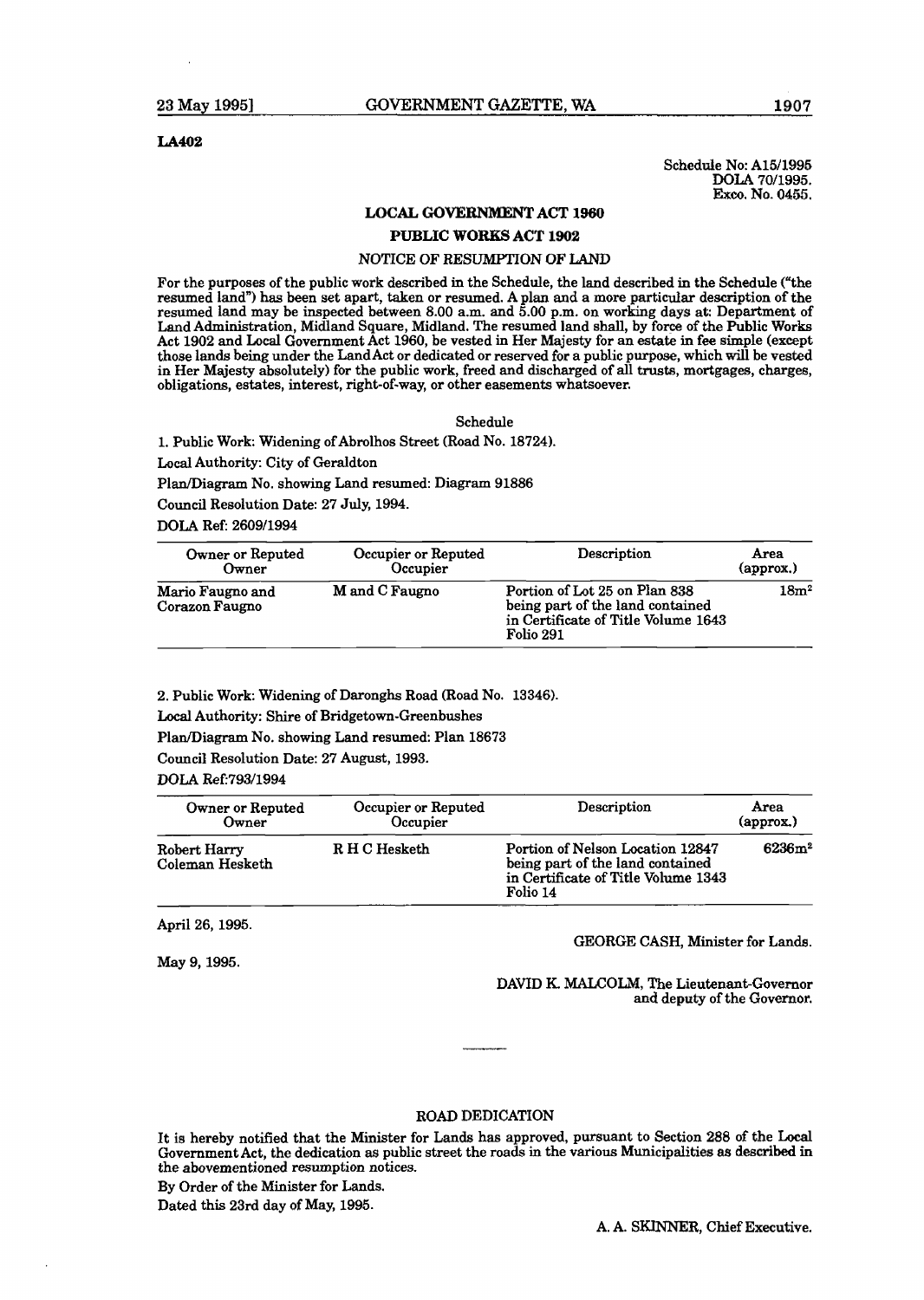#### LA402

Schedule No: A15/1995 **POLA 70/1995.**<br> **Exco.** No. 0455.

#### **LOCAL GOVERNMENT ACT 1960**

#### **PUBLIC WORKS** ACT 1902

#### NOTICE OF RESUMPTION OF LAND

For the purposes of the public work described in the Schedule, the land described in the Schedule ("the resumed land") has been set apart, taken or resumed. A plan and a more particular description of the resumed land may be inspected between 8.00 a.m. and 5.00 **pm.** on working days at: Department of Land Administration, Midland Square, Midland. The resumed land shall, by force of the Public Works Act 1902 and Local Government Act 1960, be vested in Her Majesty for an **estate** in **fee** simple (except those lands being under the LandAct or dedicated or reserved for a public purpose, which will be vested in Her Majesty absolutely) for the public work, freed and discharged of all **trusts,** mortgages, charges, obligations, estates, interest, right-of-way, or other casements whatsoever.

Schedule

l. Public Work: Widening of Abrolhos Street (Road No. 18724).

Local Authority: City of Geraldton

Plan/Diagram No. showing Land resumed: Diagram 91886

Council Resolution Date: 27 **July,** 1994.

DOLA Ref: 2609/1994

| Owner or Reputed                   | Occupier or Reputed | Description                                                                                                           | Area              |
|------------------------------------|---------------------|-----------------------------------------------------------------------------------------------------------------------|-------------------|
| Owner                              | Occupier            |                                                                                                                       | ${\rm (approx.)}$ |
| Mario Faugno and<br>Corazon Faugno | M and C Faugno      | Portion of Lot 25 on Plan 838<br>being part of the land contained<br>in Certificate of Title Volume 1643<br>Folio 291 | 18m <sup>2</sup>  |

2. Public Work: Widening of Daronghs Road (Road No. 13346).

**Local** Authority: Shire of Bridgetown-Greenbushes

Plan/Diagram No. showing Land resumed: Plan 18673

Council Resolution Date: 27 August, 1993.

#### DOLA Ref: 793/1994

| Owner or Reputed                | Occupier or Reputed | Description                                                                                                             | Area                     |
|---------------------------------|---------------------|-------------------------------------------------------------------------------------------------------------------------|--------------------------|
| Owner                           | Occupier            |                                                                                                                         | $\qquadmathbf{approx.})$ |
| Robert Harry<br>Coleman Hesketh | R H C Hesketh       | Portion of Nelson Location 12847<br>being part of the land contained<br>in Certificate of Title Volume 1343<br>Folio 14 | 6236m <sup>2</sup>       |

April 26,1995.

May 9, 1995.

GEORGE CASH, Minister for **Lands.** 

DAVID K. MALCOLM, The Lieutenant-Governor and deputy of the Governor.

#### ROAD DEDICATION

It is hereby notified that the Minister for Lands **has** approved, pursuaat to Section 288 of the Local Government Act, the dedication as public street the roads in the various Municipalities **as described** in *the* abovementioned resumption notices.

By Order of the Minister for Lands,

Dated this 23rd day of May, 1995.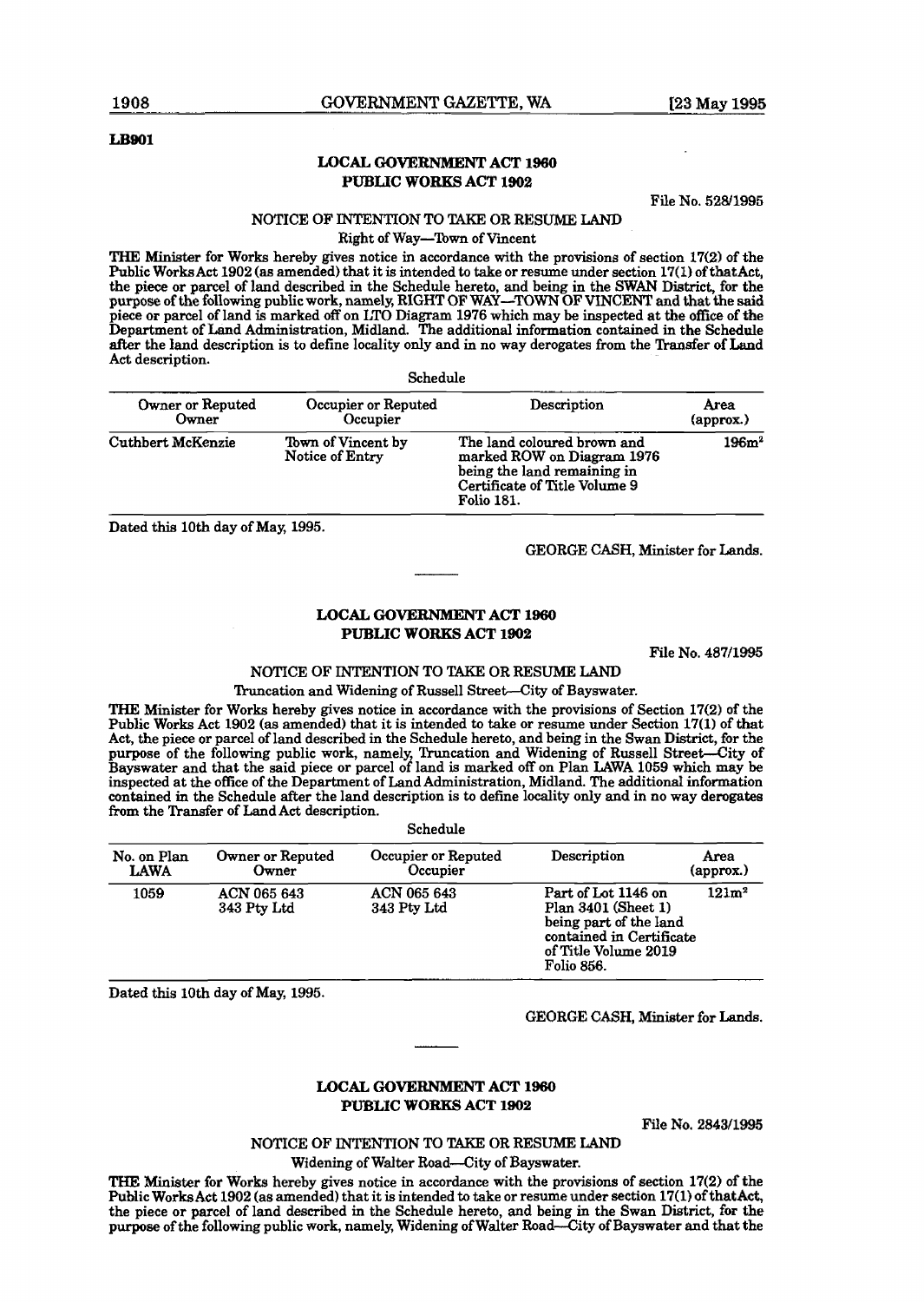#### **LB901**

#### **LOCAL GOVERNMENT ACT 1960 PUBLIC WORKS ACT 1902**

File No. 52811995

#### NOTICE OF INTENTION TO TAKE OR RESUME LAND

Right of Way-Town of Vincent

THE Minister for Works hereby gives notice in accordance with the provisions of section **17(2)** of the hzblic Works Act **1902 (as** amended) that it is intended to take or resume under section **17(1)** of *tbatht,*  the piece or parcel of land described in the Schedule hereto, and being in the SWAN District, for the purpose of the following public work, namely, RIGHT OF WAY-TOWN OF VINCFNT and that the **said**  piece or parcel of land is marked off on **LT0** Diagram **1976** which may **be** inspected at **the** offtce of the Department of Land Administration, Midland, The additional information contained in the Schedule after the land description is to define locality only and in no way derogates from the Transfer of Land Act description.

| Schedule                  |                                       |                                                                                                                                                |                           |
|---------------------------|---------------------------------------|------------------------------------------------------------------------------------------------------------------------------------------------|---------------------------|
| Owner or Reputed<br>Owner | Occupier or Reputed<br>Occupier       | Description                                                                                                                                    | Area<br>${\rm (approx.)}$ |
| Cuthbert McKenzie         | Town of Vincent by<br>Notice of Entry | The land coloured brown and<br>marked ROW on Diagram 1976<br>being the land remaining in<br>Certificate of Title Volume 9<br><b>Folio 181.</b> | 196m <sup>2</sup>         |

Dated this **10th** day of May, **1995.** 

GEORGE CASH, Minister for Lands.

#### **LOCAL GOVERNMENT ACT 1860 PUBLIC WORKS ACT 1902**

File No. **487/1995** 

#### NOTICE OF INTENTION TO TAKE OR RESUME LAND Truncation and Widening of Russell Street-City of Bayswater.

**THE** Minister for Works hereby gives notice in accordance with the provisions of Section **17(2)** of the Public Works Act **1902 (as** amended) that it is intended to **take** or resume under **Section 17(1)** of that **Act,** the piece or parcel of land described in the Schedule hereto, and being in the Swan **District,** for the purpose of the following public work, namely, Truncation and Widening of Russell Street-City of Bayswater and that the said piece or parcel of land is marked off on Plan **LAWA 1059** which may **be**  inspected at the office of the Department of Land Administration, Midland. The additional information contained in the Schedule after the land description is to define locality only and in no way derogates **from** the Transfer of Land Act description.

Schedule

| оспечше                    |                            |                                 |                                                                                                                                               |                   |
|----------------------------|----------------------------|---------------------------------|-----------------------------------------------------------------------------------------------------------------------------------------------|-------------------|
| No. on Plan<br><b>LAWA</b> | Owner or Reputed<br>Owner  | Occupier or Reputed<br>Occupier | Description                                                                                                                                   | Area<br>(approx.) |
| 1059                       | ACN 065 643<br>343 Pty Ltd | ACN 065 643<br>343 Pty Ltd      | Part of Lot 1146 on<br>Plan 3401 (Sheet 1)<br>being part of the land<br>contained in Certificate<br>of Title Volume 2019<br><b>Folio 856.</b> | 121m <sup>2</sup> |

Dated this 10th day of May, **1995.** 

**GEORGE CASH,** Minister for **Lands.** 

#### **LOCAL GOVERNMENT ACT 1960 PUBLfC WORKS ACT 1902**

**]File No. 2843/1995** 

NOTICE OF INTENTION TO TAKE OR RESUME LAND

Widening of **Walter** Road--City of Bayswater.

**THE** Minister for Works hereby gives notice in accordance with the provisions of section **17(2)** of the Public **Works** Act **1902** (as amended) that it is intended to take or resume under section **17(1)** of thatAct, the piece or parcel of land described in the Schedule hereto, and being in the Swan District, for the purpose of the following public work, namely, Widening of Walter Road--City of Bayswater and that the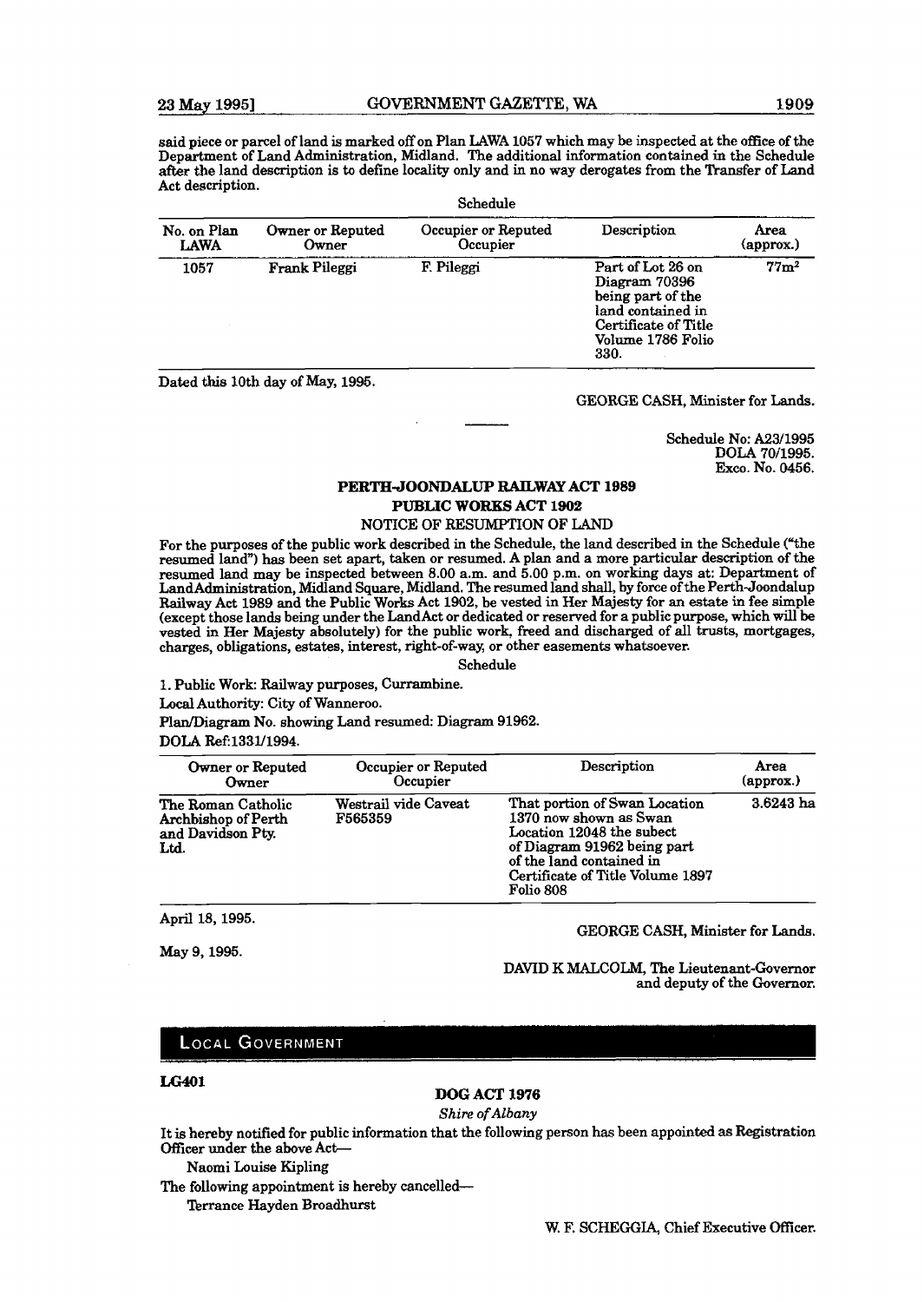said piece or parcel of land is marked off on Plan LAWA 1057 which may be inspected at the office of the Department of Land Administration, Midland. The additional information contained in the Schedule after the land description is to define locality only and in no way derogates from the Transfer of Land Act description.

| Schedule                   |                           |                                 |                                                                                                                                   |                   |
|----------------------------|---------------------------|---------------------------------|-----------------------------------------------------------------------------------------------------------------------------------|-------------------|
| No. on Plan<br><b>LAWA</b> | Owner or Reputed<br>Owner | Occupier or Reputed<br>Occupier | Description                                                                                                                       | Area<br>(approx.) |
| 1057                       | Frank Pileggi             | F. Pileggi                      | Part of Lot 26 on<br>Diagram 70396<br>being part of the<br>land contained in<br>Certificate of Title<br>Volume 1786 Folio<br>330. | 77 <sub>m²</sub>  |

Dated **this** loth day of May, 1995.

GEORGE CASH, Minister for **Lands.** 

Schedule No: A231995 **DOLA** 70/1995. Exco. No. 0456.

## **PERTH-JOONDALUP RAILWAY ACT 1989 PUBLIC WORKS ACT** 1902

#### NOTICE OF RESUMPTION OF LAND

For the purposes of the public work described in the Schedule, the land described in the Schedule ("the resumed land") has been set apart, taken or resumed. A plan and a more particular description of the resumed land may be inspected between 8.00 a.m. and 5.00 p.m. on working days at: Department of LandAdministration, Midland Square, Midland. The resumed land shall, by force of the Perth-Joondalup Railway Act 1989 and the Public Works Act 1902, be vested in Her Majesty for an **estate** in fee simple (except those lands being under the LandAct or dedicated or reserved for a public purpose, which will be vested in Her Majesty absolutely) for the public work, freed and discharged of all trusts, mortgages, charges, obligations, estates, interest, right-of-way, or other casements whatsoever.

#### Schedule

1. Public Work: Railway purposes, Currambine. **Local** Authority: City of Wanneroo. **PlanDiagram** No. showing Land resumed: Diagram 91962. **DOLA Ref:1331/1994.** 

| Owner or Reputed                                                       | Occupier or Reputed             | Description                                                                                                                                                                                      | Area               |
|------------------------------------------------------------------------|---------------------------------|--------------------------------------------------------------------------------------------------------------------------------------------------------------------------------------------------|--------------------|
| Owner                                                                  | Occupier                        |                                                                                                                                                                                                  | $(\text{approx.})$ |
| The Roman Catholic<br>Archbishop of Perth<br>and Davidson Pty.<br>Ltd. | Westrail vide Caveat<br>F565359 | That portion of Swan Location<br>1370 now shown as Swan<br>Location 12048 the subect<br>of Diagram 91962 being part<br>of the land contained in<br>Certificate of Title Volume 1897<br>Folio 808 | $3.6243$ ha        |

April 18, 1995.

**May** 9,1995.

#### GEORGE CASH, Minister for **Lands.**

DAVID K MALCOLM, The Lieutenant-Governor and deputy of the Governor.

#### **LOCAL GOVERNMENT**

#### **LG401**

### **DOG ACT X976**

#### **Shire of** *Albany*

It is hereby notified for public information that the following person has been appointed as Registration Oficer under the above Act

Naomi Louise Kipling

The following appointment is hereby cancelled-

Terrance Hayden Broadhurst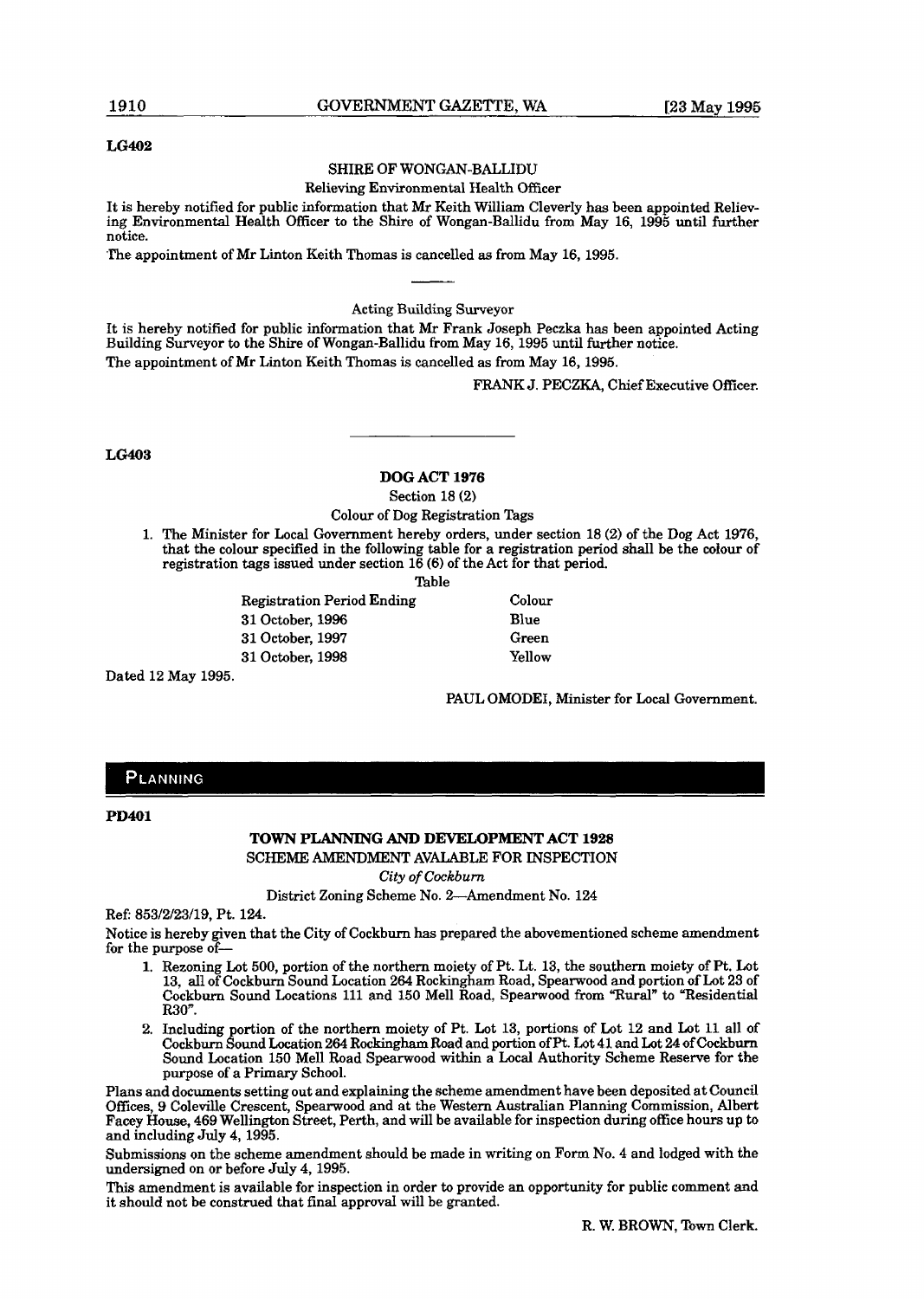#### **LG402**

### SHIRE OF WONGAN-BALLIDU

Relieving Environmental Health Officer

It is hereby notified for public information that Mr Keith William Cleverly has been appointed Relieving Environmental Health Officer to the Shire of Wongan-Ballidu from May 16, 1995 until further notice.

The appointment of Mr Linton Keith Thomas is cancelled as from May 16,1995.

Acting Building Surveyor

It is hereby notified for public information that Mr Frank Joseph Peczka has been appointed Acting Building Surveyor to the Shire of Wongan-Ballidu from May 16, 1995 until further notice. The appointment of Mr Linton Keith Thomas is cancelled as from May 16, 1995.

FRANK J. PECZKA, Chief Executive Officer.

**LG403** 

**DOG ACT 1976** 

Section 18 **(2)** 

Colour of Dog Registration Tags

1. The Minister for Local Government hereby orders, under section 18 **(2)** of the Dog Act 1976, that the colour specified in the following table for a registration period shall be the colour of registration tags issued under section 16 (6) of the Act for that period.

Table

Registration Period Ending Colour 31 October, 1996 Blue 31 October, 1997 Green 31 October, 1998 Yellow

Dated 12 May 1995.

PAUL OMODEI, Minister for Local Government.

## PLANNING

## **TOWN PLANNING AND DEVELOPMENT ACT 1928**

SCHEME **AMENDMENT** AVALABLE **FOR** INSPECTION

**City of** *Cockburn* 

District Zoning Scheme No. 2-Amendment No. 124

Ref: 853/2/23/19, Pt. 124.

Notice is hereby given that the City of Cockburn has prepared the abovementioned scheme amendment for the purpose of-

- 1. Rezoning Lot 500, portion of the northern moiety of Pt. Lt. 13, the southern moiety of Pt. Lot 13, all of Cockburn Sound Location 264 Rockingham Road, Spearwood and portion of Lot 23 of Cockburn Sound Locations 111 and 150 Mell Road, Spearwood from "Rural" to "Residential **R30n.**
- 2. Including portion of the northern moiety of Pt. Lot 13, portions of Lot 12 and Lot 11 all of Cockburn Sound Location 264 Rockingham Road and portion of Pt. Lot **41.** and Lot 24 of **Cockburn**  Sound Location 150 Me11 Road Spearwood within a Local Authority Scheme Reserve for the purpose of a Primary School.

Plans and documents setting out and explaining the scheme amendment have been deposited at Council Offices, 9 Coleville Crescent, Spearwood and at the Western Australian Planning Commission, Albert **Facey** House, 469 Wellington Street, Perth, and will be available for inspection during ofice hours up to and including July 4, 1995.

Submissions on the scheme amendment should be made in writing on Form No. 4 and lodged with the undersigned on or before **July** 4, 1995.

**This** amendment is available for inspection in order to provide an opportunity for public comment and it should not be construed that final approval will be granted.

**PD401**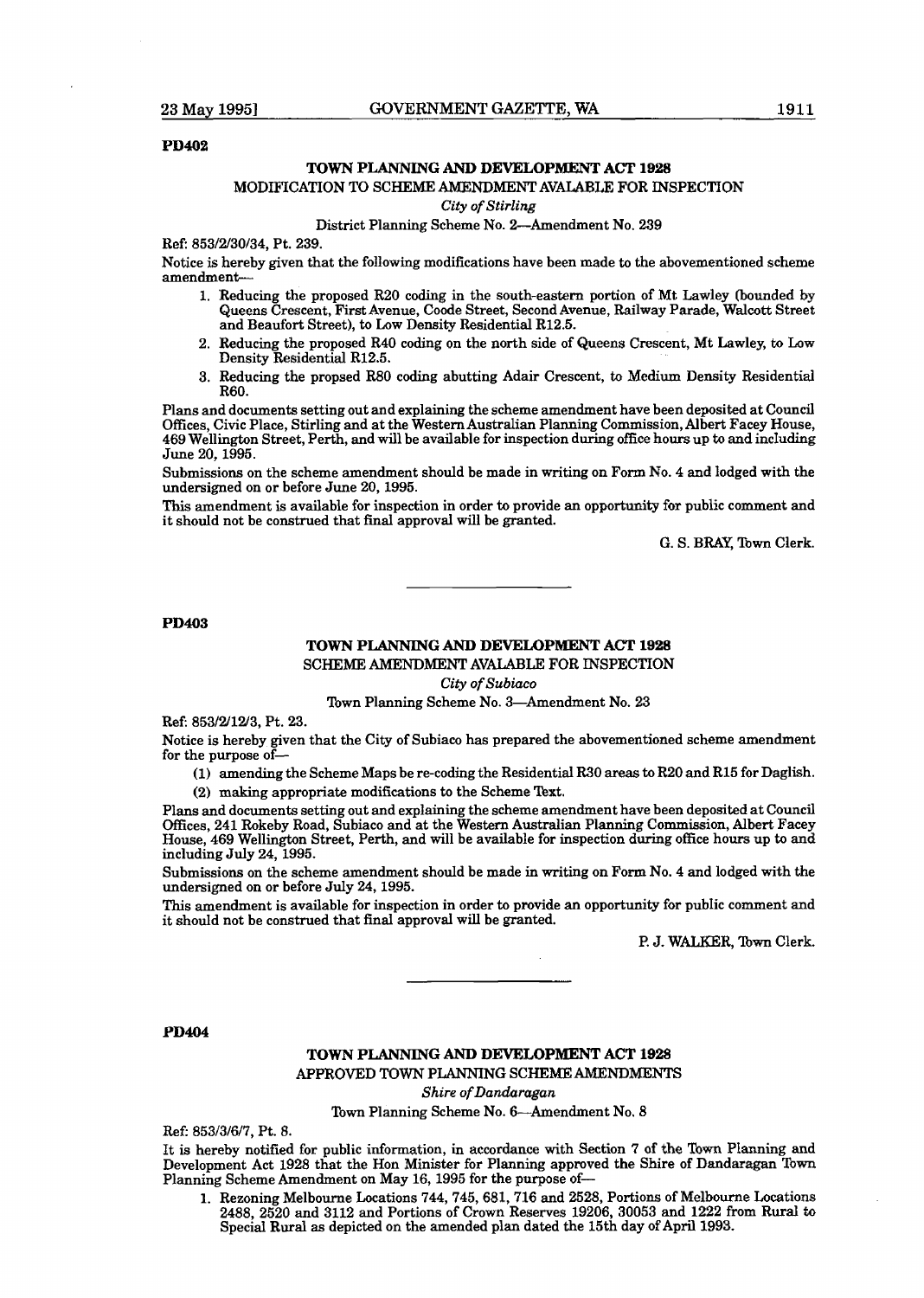#### **PD402**

### **TOWN PLANNING AND DEVELOPMENT ACT** 1928

#### MODIFICATION TO SCHEME AMENDMENT AVALABLE FOR INSPECTION

**City** of Stirling

#### District Planning Scheme No. 2-Amendment No. 239

Ref: 853/2/30/34, Pt. 239.

Notice is hereby given that the following modifications have been made to the abovementioned scheme amendment-

- 1. Reducing the proposed R20 coding in the south-eastern portion of Mt Lawley (bounded by Queens Crescent, First Avenue, Coode Street, Second Avenue, Railway Parade, Walcott Street and Beaufort Street), to **Low** Density Residential **R12.5.**
- 2. Reducing the proposed R40 coding on the north side of Queens Crescent, Mt Lawley, to **Low**  Density Residential R12.5.
- 3. Reducing the propsed R80 coding abutting Adair Crescent, to Medium Density Residential R60.

Plans and documents setting out and explaining the scheme amendment have been deposited at Council OEces, Civic Place, Stirling and at the Western Australian Planning Commission, Albert Facey House, 469 Wellington Street, Perth, and will be available for inspection during office hours up to and including June 20,1995.

Submissions on the scheme amendment should be made in writing on Form No. 4 and lodged with the undersigned on or before June 20,1995.

This amendment is available for inspection in order to provide an opportunity for public comment and it should not be construed that final approval will be granted.

G. S. **BRAY,** Town Clerk.

**PD403** 

#### **TOWN PLANNING AND DEVELOPMENT ACT 1928**

SCHEME AMENDMENT AVALABLE FOR INSPECTION

**City** of **Subiaco** 

Town Planning Scheme No. 3-Amendment No. 23

**Ref:** 853/2/12/3, Pt. 23.

Notice is hereby given that the City of Subiaco has prepared the abovementioned scheme amendment for the purpose of-

- **(1)** amending the Scheme Maps be re-coding the Residential R30 areas to R20 and R15 for Daglish.
- (2) **making** appropriate modifications to the Scheme Text.

Plans and documents setting out and explaining the scheme amendment have been deposited at Council Offices, 241 Rokeby Road, Subiaco and at the Western Australian Planning Commission, Albert Facey House, 469 Wellington Street, Perth, and will be available for inspection during office hours up to and including July 24, 1995.

Submissions on the scheme amendment should be made in writing on Form No. 4 and lodged with the undersigned on or before July 24,1995.

This amendment is available for inspection in order to provide an opportunity for pubIic comment and it should not be construed that final approval will be granted.

**P. 3.** WALKER, **'Ibwn** Clerk.

**PD404** 

## **TOWN PLANNING AND DEVELOPMENT ACT 1928** APPROVED TOWN PLANNING SCHEME AMENDMENTS

**Shire of** *Dandaragan* 

Town Planning Scheme No. 6-Amendment No. 8

Ref: 853/3/6/7, Pt. 8.

It is hereby notified for public information, in accordance with Section 7 of the Town Planning and Development Act 1928 that the Hon Minister for Planning approved the Shire of Dandaragan Town Planning Scheme Amendment on May 16, 1995 for the purpose of-

**1.** Rezoning Melbourne Locations 744,745,681,716 and 2528, Portions of Melbourne Locations 2488, 2520 and 3112 and Portions of Crown Reserves 19206, 30053 and 1222 from Rural to Special **Rural** as depicted on the amended plan dated the 15th day of April 1993.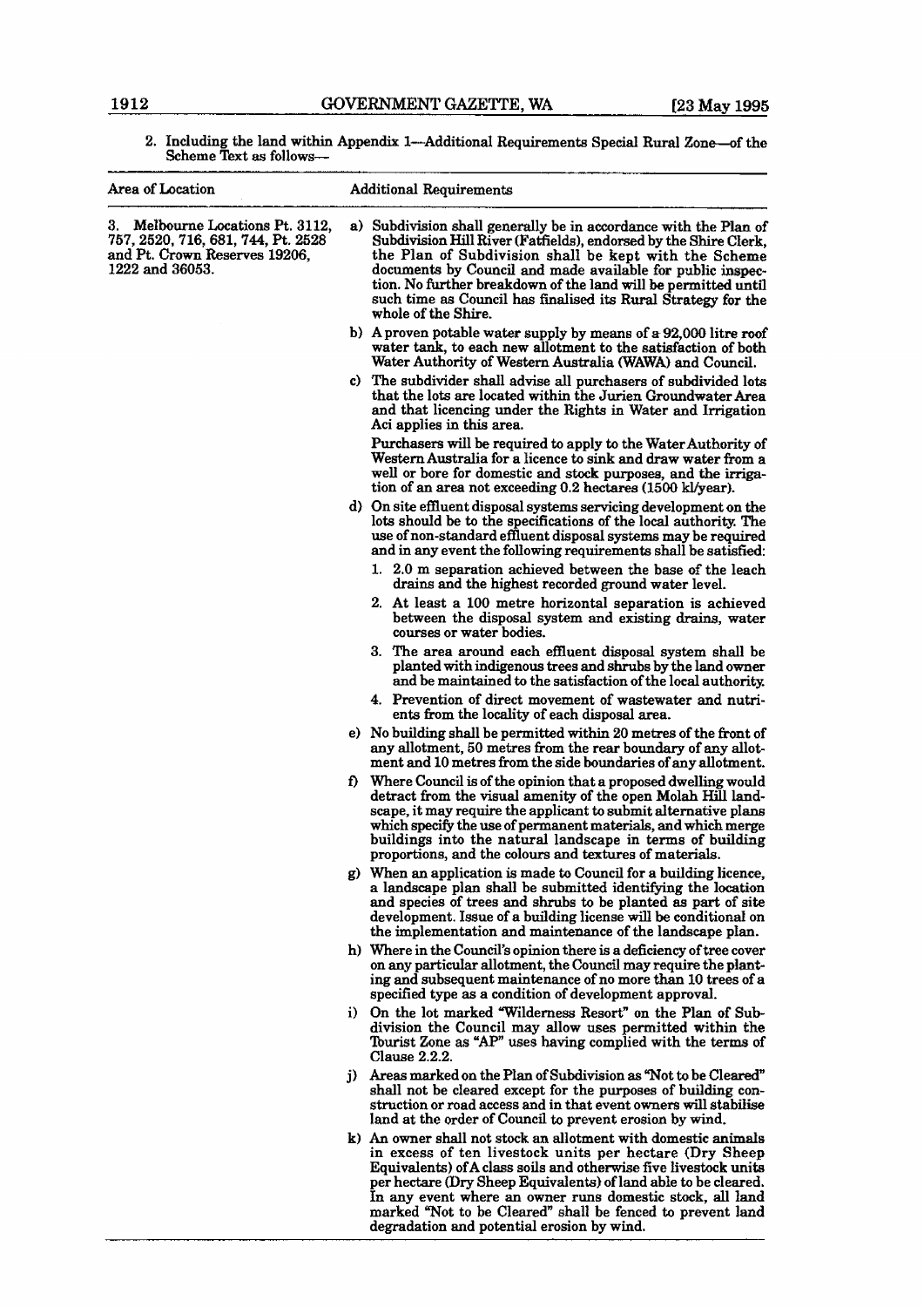2. Including the land within Appendix 1—Additional Requirements Special Rural Zone—of the Scheme Text **as** follows-

| Area of Location                                                                                                              |  | <b>Additional Requirements</b>                                                                                                                                                                                                                                                                                                                                                                                                            |
|-------------------------------------------------------------------------------------------------------------------------------|--|-------------------------------------------------------------------------------------------------------------------------------------------------------------------------------------------------------------------------------------------------------------------------------------------------------------------------------------------------------------------------------------------------------------------------------------------|
| 3.<br>Melbourne Locations Pt. 3112.<br>757, 2520, 716, 681, 744, Pt. 2528<br>and Pt. Crown Reserves 19206.<br>1222 and 36053. |  | a) Subdivision shall generally be in accordance with the Plan of<br>Subdivision Hill River (Fatfields), endorsed by the Shire Clerk,<br>the Plan of Subdivision shall be kept with the Scheme<br>documents by Council and made available for public inspec-<br>tion. No further breakdown of the land will be permitted until<br>such time as Council has finalised its Rural Strategy for the<br>whole of the Shire.                     |
|                                                                                                                               |  | b) A proven potable water supply by means of a 92,000 litre roof<br>water tank, to each new allotment to the satisfaction of both<br>Water Authority of Western Australia (WAWA) and Council.                                                                                                                                                                                                                                             |
|                                                                                                                               |  | c) The subdivider shall advise all purchasers of subdivided lots<br>that the lots are located within the Jurien Groundwater Area<br>and that licencing under the Rights in Water and Irrigation<br>Aci applies in this area.                                                                                                                                                                                                              |
|                                                                                                                               |  | Purchasers will be required to apply to the Water Authority of<br>Western Australia for a licence to sink and draw water from a<br>well or bore for domestic and stock purposes, and the irriga-<br>tion of an area not exceeding 0.2 hectares (1500 kl/year).                                                                                                                                                                            |
|                                                                                                                               |  | d) On site effluent disposal systems servicing development on the<br>lots should be to the specifications of the local authority. The<br>use of non-standard effluent disposal systems may be required<br>and in any event the following requirements shall be satisfied:                                                                                                                                                                 |
|                                                                                                                               |  | 1. 2.0 m separation achieved between the base of the leach<br>drains and the highest recorded ground water level.                                                                                                                                                                                                                                                                                                                         |
|                                                                                                                               |  | 2. At least a 100 metre horizontal separation is achieved<br>between the disposal system and existing drains, water<br>courses or water bodies.                                                                                                                                                                                                                                                                                           |
|                                                                                                                               |  | 3. The area around each effluent disposal system shall be<br>planted with indigenous trees and shrubs by the land owner<br>and be maintained to the satisfaction of the local authority.                                                                                                                                                                                                                                                  |
|                                                                                                                               |  | 4. Prevention of direct movement of wastewater and nutri-<br>ents from the locality of each disposal area.                                                                                                                                                                                                                                                                                                                                |
|                                                                                                                               |  | e) No building shall be permitted within 20 metres of the front of<br>any allotment, 50 metres from the rear boundary of any allot-<br>ment and 10 metres from the side boundaries of any allotment.                                                                                                                                                                                                                                      |
|                                                                                                                               |  | f) Where Council is of the opinion that a proposed dwelling would<br>detract from the visual amenity of the open Molah Hill land-<br>scape, it may require the applicant to submit alternative plans<br>which specify the use of permanent materials, and which merge<br>buildings into the natural landscape in terms of building<br>proportions, and the colours and textures of materials.                                             |
|                                                                                                                               |  | g) When an application is made to Council for a building licence,<br>a landscape plan shall be submitted identifying the location<br>and species of trees and shrubs to be planted as part of site<br>development. Issue of a building license will be conditional on<br>the implementation and maintenance of the landscape plan.                                                                                                        |
|                                                                                                                               |  | h) Where in the Council's opinion there is a deficiency of tree cover<br>on any particular allotment, the Council may require the plant-<br>ing and subsequent maintenance of no more than 10 trees of a<br>specified type as a condition of development approval.                                                                                                                                                                        |
|                                                                                                                               |  | i) On the lot marked "Wilderness Resort" on the Plan of Sub-<br>division the Council may allow uses permitted within the<br>Tourist Zone as "AP" uses having complied with the terms of<br>Clause 2.2.2.                                                                                                                                                                                                                                  |
|                                                                                                                               |  | j) Areas marked on the Plan of Subdivision as "Not to be Cleared"<br>shall not be cleared except for the purposes of building con-<br>struction or road access and in that event owners will stabilise<br>land at the order of Council to prevent erosion by wind.                                                                                                                                                                        |
|                                                                                                                               |  | k) An owner shall not stock an allotment with domestic animals<br>in excess of ten livestock units per hectare (Dry Sheep<br>Equivalents) of A class soils and otherwise five livestock units<br>per hectare (Dry Sheep Equivalents) of land able to be cleared.<br>In any event where an owner runs domestic stock, all land<br>marked "Not to be Cleared" shall be fenced to prevent land<br>degradation and potential erosion by wind. |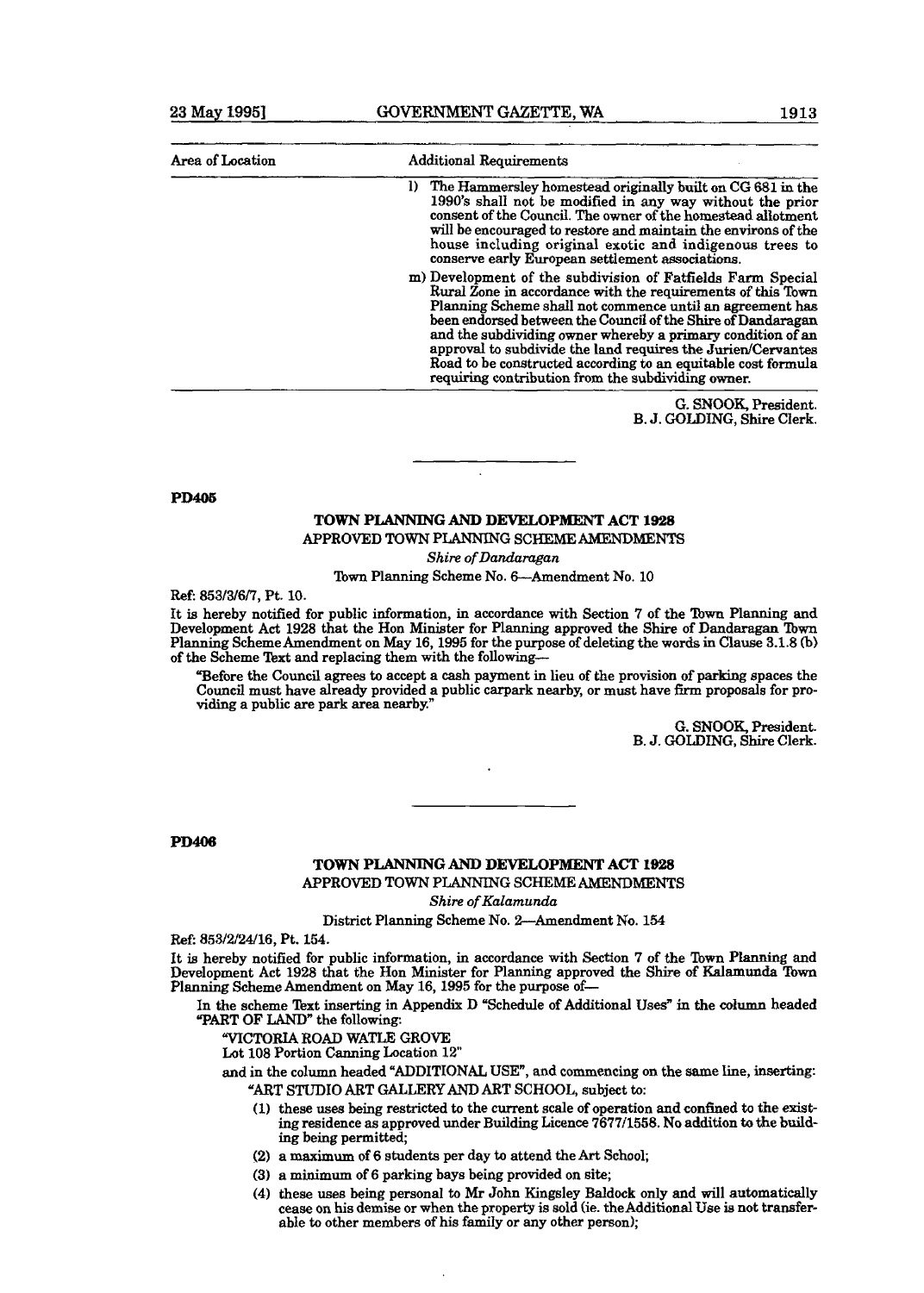| Area of Location | <b>Additional Requirements</b>                                                                                                                                                                                                                                                                                                                                                                                                                                                                                |  |  |
|------------------|---------------------------------------------------------------------------------------------------------------------------------------------------------------------------------------------------------------------------------------------------------------------------------------------------------------------------------------------------------------------------------------------------------------------------------------------------------------------------------------------------------------|--|--|
|                  | 1) The Hammersley homestead originally built on CG 681 in the<br>1990's shall not be modified in any way without the prior<br>consent of the Council. The owner of the homestead allotment<br>will be encouraged to restore and maintain the environs of the<br>house including original exotic and indigenous trees to<br>conserve early European settlement associations.                                                                                                                                   |  |  |
|                  | m) Development of the subdivision of Fatfields Farm Special<br>Rural Zone in accordance with the requirements of this Town<br>Planning Scheme shall not commence until an agreement has<br>been endorsed between the Council of the Shire of Dandaragan<br>and the subdividing owner whereby a primary condition of an<br>approval to subdivide the land requires the Jurien/Cervantes<br>Road to be constructed according to an equitable cost formula<br>requiring contribution from the subdividing owner. |  |  |

G. **SNOOK,** President. B. J. **GOLDING,** Shire Clerk.

**PD405** 

### **TOWN PLANNING AND DEVELOPMENT ACT 1928**  APPROVED **TOWN** PLANNING **SCHEME** AMENDMENTS

**Shire** *of Dandamgan* 

Town Planning Scheme No. 6-Amendment No. 10

**Ref: 853/3/6/7,** Pt. **10.** 

It is hereby notified for public information, in accordance with Section 7 of **the flown** Planning **and**  Development Act 1928 that the Hon Minister for Planning approved the Shire of Dandaragan Town Planning Scheme Amendment on May **16,1995** for the purpose of deleting the words in Clause **3.1.8** (b) of the Scheme Text and replacing them with the following-

"Before the Council agrees to accept a cash payment in lieu of the provision of parking spaces the Council must have already provided a public carpark nearby, or must have firm proposals for providing a public are park area nearby.'

> G. **SNOOK,** President. B. J. **GOLDING, Shire** Clerk.

**PD406** 

#### **TOWN PLANNING AND DEVELOPMENT ACT 1928**  APPROVED TOWN PLANMnG SCHEME AMENDMENTS

**Shire** *of Kalamunda* 

District Planning Scheme No. 2-Amendment No. **154** 

**Ref: 853/2/24/16, Pt. 154.** 

It is hereby notified for public information, in accordance with Section 7 of the Town Planning and Development Act 1928 that the Hon Minister for Planning approved the **Shire** of **Ralamuzlda !bwn**  Planning Scheme Amendment on May **16,1995** for the purpose of-

In the scheme Text inserting in Appendix D "Schedule of Additional Uses" in the column headed **"PART** OF **LAND"** the following:

**"VICTORIA ROAD WATLE GROVE** 

Lot 108 Portion Canning Location 12"

and in the column headed "ADDITIONAL **USE",** and commencing on the **same** line, inserting: **"AFtT S'I'UDIO ART** GALLERY **AND** ART SCHOOL, subject to:

- **(1)** these **uses** being restricted to the current scale of operation and conhed to the exist**ing** residence as approved under Building Licence **7677/1558.** No **addition to** the **bdd**ing being permitted;
- (2) a maximum of **6** students per day **to** attend the Art School;
- **(3)** a **minimum** of **6** parking bays being provided on site,
- **(4)** these uses **being** personal to Mr John Kingsley Baldock only and will automatically cease on his demise or when the property is sold (ie. theAdditiona1 Use is not transferable to other members of his family or any other person);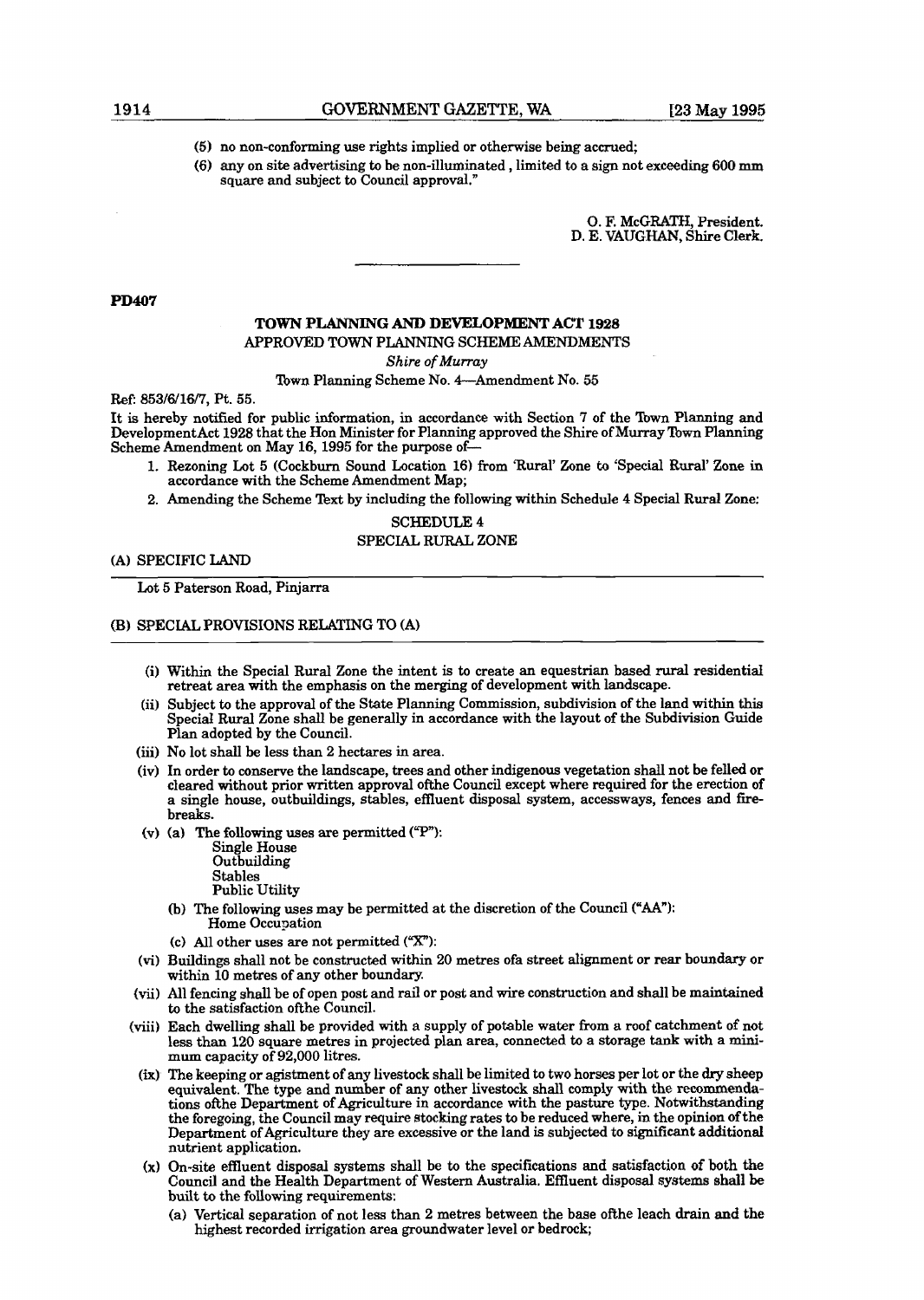- **(5)** no non-conforming use rights implied or otherwise being accrued;
- *(6)* any on site advertising to be non-illuminated , limited to a sign not exceeding 600 **ram**  square and subject to Council approval."

**0.** F. McGRATH, President. D. E. **VAUGHAN,** Shire Clerk,

#### **PD407**

## **TOWN PLANNING AND** DEVELOPMENT ACT 1928 APPROVED **TOWN** PLANNING SCHEME **AMENDMENTS**

**Shire of** *Murray* 

Town Planning Scheme No. 4-Amendment No. 55

**Ref:** 853/6/16/7, Pt. 55.

It is hereby notified for public information, in accordance with Section 7 of the **lbwn** Planning and DevelopmentAct 1928 that the Hon Minister for Planning approved the Shire of Murray Town Planning Scheme Amendment on May 16,1995 for the purpose of-

- 1. Rezoning Lot 5 (Cockburn Sound Location 16) from 'Rural' Zone to 'Special Rural' Zone in accordance with the Scheme Amendment Map;
- 2. Amending the Scheme Text by including the following within Schedule 4 Special **Rural** Zone:

#### SCHEDULE 4

#### SPECIAL RURAL ZONE

(A) SPECIFIC **LAND** 

Lot 5 Paterson Road, Pinjarra

#### (B) SPECIAL PROVISIONS RELATING TO **(A)**

- (i) Within the Special Rural Zone the intent is to create an equestrian based **rural** residential retreat area with the emphasis on the merging of development with landscape.
- (ii) Subject to the approval of the State Planning Commission, subdivision of the land within this Specid Rural Zone shall be generally in accordance with the layout of the Subdivision Guide Plan adopted by the Council.
- (iii) No lot shall be less than 2 hectares in area.
- (iv) In order to conserve the landscape, trees and other indigenous vegetation shall not be felled or cleared without prior written approval ofthe Council except where required for the erection of a single house, outbuildings, stables, effluent disposal system, accessways, fences and firebreaks.
- (v) (a) The following uses are permitted  $({}^{\alpha}P^{\alpha})$ :

Single House **Outbuilding** Stables Public Utility

- (b) The following uses may be permitted at the discretion of the Council ("AA"): Home Occupation
- (c) All other uses are not permitted  $(^\alpha X^n)$ :
- **(vi)** Buildings shall not be constructed within 20 metres ofa street alignment or rear boundary or within 10 metres of any other boundary.
- (vii) All fencing shall be of open post and rail or post and wire construction and shall be maintained to the satisfaction ofthe Council.
- (viii) Each dwelling shall be provided with a supply of potable water from a roof catchment of not less than 120 square metres in projected plan area, connected to a storage **tank** with a **mini-** mum capacity of 92,000 litres.
- **(h)** The keeping or agistment of any livestock shall be limited to two horses per lot or the dry sheep equivalent. The type and number of any other livestock shall comply with the recommendations of the Department of Agriculture in accordance with the pasture type. Notwithstanding the foregoing, the Council may require stocking rates to be reduced where, in the opinion of the Department of Agriculture they are excessive or the land is subjected to significant additional nutrient application.
- **(X)** On-site effluent disposal systems shall be to the specifications **and** satisfaction of both the Council and the Health Department of Western Australia. Effluent disposal systems shall be built to the following requirements:
	- **(a)** Vertical separation of not less than 2 metres between the base ofthe leach drain and the highest recorded irrigation area groundwater level or bedrock;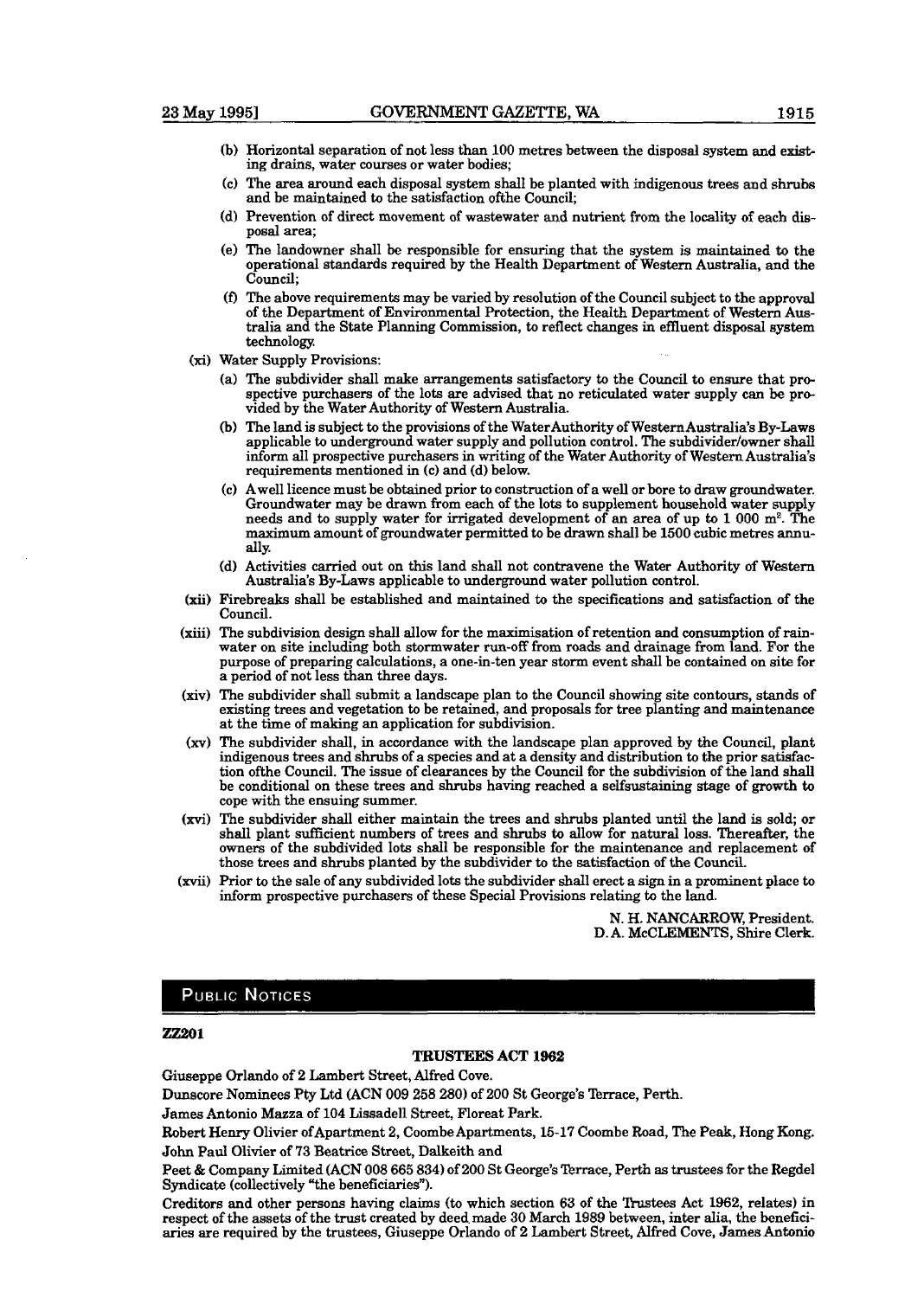- (b) Horizontal separation of not less than 100 metres between the disposal system and exist**ing** drains, water courses or water bodies;
- (C) The area around each disposal system shall be planted with indigenous trees and shrub and be maintained to the satisfaction ofthe Council;
- (d) Prevention of direct movement of wastewater and nutrient from the locality of each **dis**posal area;
- (e) The landowner shall be responsible for ensuring that the system **is** maintained **h** the operational standards required by the Health Department of Western Australia, and the Council;
- **(D** The above requirements may be varied by resolution of the Council subject to the approval of the Department of Environmental Protection, the Health Department of Western Australia and the State Planning Commission, to reflect changes in effluent disposal system technology.
- Water Supply Provisions:
	- (a) The subdivider shall make arrangements satisfactory to the Council to ensure that prospective purchasers of the lots are advised that no reticulated water supply can be provided by the Water Authority of Western Australia.
	- (b) The land is subject to the provisions of the WaterAuthority of WesternAustralia's By-Laws applicable to underground water supply and pollution control. The subdivider/owner shall inform all prospective purchasers in writing of the Water Authority of Western Australia's requirements mentioned in (c) and (d) below.
	- (C) Awe11 licence must be obtained prior to construction of a well or bore to draw groundwater. Groundwater may be drawn from each of the lots to supplement household water supply needs and to supply water for irrigated development of an area of up to 1 000 m<sup>2</sup>. The maximum amount of groundwater permitted to be drawn shall be 1500 cubic metres annually
	- (d) Activities carried out on this land shall not contravene the Water Authority **of Western**  Australia's By-Laws applicable to underground water pollution control.
- Firebreaks shall be established and maintained to the specifications and satisfaction of the Council.
- The subdivision design shall allow for the maximisation of retention and consumption of **rain**water on site including both stormwater run-off from roads and drainage from land. For the purpose of preparing calculations, a one-in-ten year storm event shall be contained on site for a period of not less than three days.
- (xiv) The subdivider shall submit a landscape plan to the Council showing site contours, stands of existing trees and vegetation to be retained, and proposals for tree planting and maintenance at the time of making an application for subdivision.
- (xv) The subdivider shall, in accordance with the landscape plan approved by the Council, plant indigenous trees and shrubs of a species and at a density and distribution to the prior satisfaction ofthe Council. The issue of clearances by the Council for the subdivision of the land shall be conditional on these trees and shrubs having reached a selfsustaining stage of growth to cope with the ensuing summer.
- The subdivider shall either maintain the trees and shrubs planted until the land is sold; or shall plant sufficient numbers of trees and shrubs to allow for natural loss. Thereafter, the owners of the subdivided lots shall be responsible for the maintenance and replacement of those trees and shrubs planted by the subdivider to the satisfaction of the Council.
- Prior to the sale of any subdivided lots the subdivider shall erect a sign in a prominent place to inform prospective purchasers of these Special Provisions relating to the land.

N. H. **NANCARROW,** President. D. A. McCLEMENTS, Shire Clerk.

#### **PUBLIC NOTICES**

#### **22201**

#### **TRUSTEES ACT 1962**

Giuseppe Orlando of 2 Lambert Street, Alfred Cove.

Dunscore Nominees **Pty** Ltd (ACN 009 258 280) of **200** St George's Terrace, **Perth.** 

**James Antonio Mazza of 104 Lissadell Street, Floreat Park.** 

Robert Henry Olivier ofApartment 2, Coombe Apartments, **15-17** Coombe Road, The Peak, Hong Kong. John Paul Olivier of **73** Beatrice Street, Dalkeith and

Peet & Company Limited (ACN 008 665 834) of 200 St George's Terrace, Perth as trustees for the Regdel Syndicate (collectively "the beneficiaries").

Creditors and other persons having claims (to which section 63 of the Ttustees Act 1962, relates) in respect of the assets of the trust created by deed made 30 March 1989 between, inter alia, the beneficiaries are required by the trustees, Giuseppe Orlando of **2** Lambert Street, Alfred Cove, James **Antonio**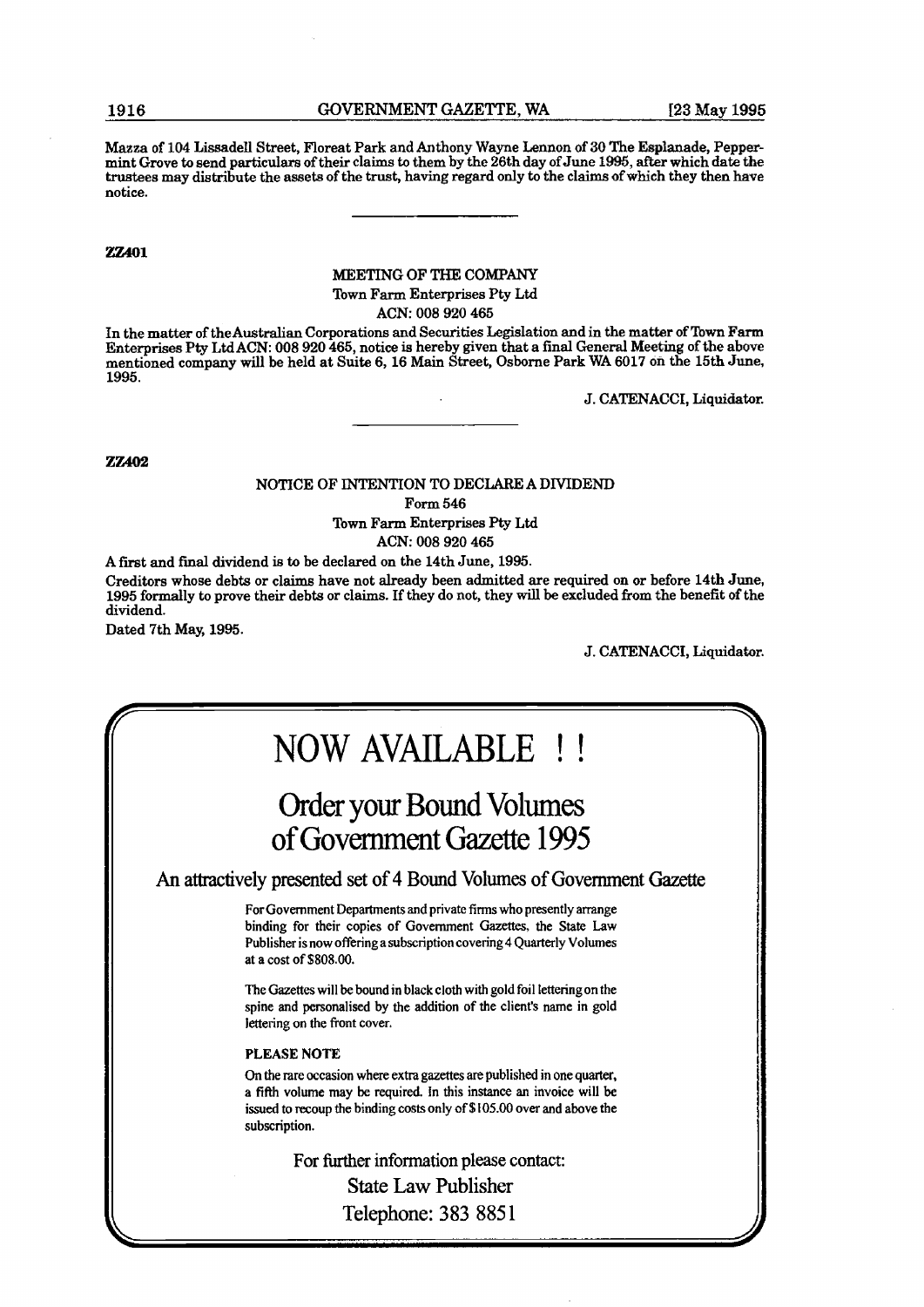Mama of **104** Lissadell Street, Floreat Park and Anthony Wayne Lemon of **30** The Esplanade, Peppermint Grove **to** send particulars of their claims to them by the 26th day of June 1995, after which date the trustees may distribute the assets of the trust, having regard only to the claims ofwhich they then **have**  notice.

**m401** 

### MEETING OF THE COMPANY

Town Farm Enterprises Pty Ltd

ACN: **008 920 465** 

In the matter of theAustralian Corporations and Securities Legislation and in the matter of Town **Farm**  Enterprises Pty LMACN: **008 920 465,** notice is hereby given that a final General Meeting of **the** above mentioned company will be held at Suite **6,16** Main Street, Osborne Park WA **6017** on the **15th** June, **1995.** 

J. CATENACCI, Liquidator.

**ZZ402** 

### NOTICE OF INTENTION TO DECLARE A DIVIDEND

Form **546** 

Town Farm Enterprises Pty Ltd ACN: **008 920 465** 

A first and **final** dividend is to be declared on the 14th June, **1995.** 

Creditors whose debts or claims have not already been admitted are required on or before **14th** June, **1995** fondly to prove their debts or claims. If they do not, they will be excluded from the benefit of the dividend.

Dated 7th **May, 1995.** 

J. CATENACCI, Liquidator.

## NOW AVAILABLE ! !

## Order your Bound Volumes of Government Gazette 1995

**An** attractively presented set of 4 Bound Volumes of Government Gazette

For Government Departments and private firms who presently arrange binding for their copies of Government Gazettes, the **State Law**  Publisher is now offering a subscription covering 4 Quarterly Volumes at a cost of **\$808.00.** 

**The** Gazettes will be bound in black cloth with gold foil letteringon the spine and personalised by the addition of the client's name in gold lettering on the front cover.

#### **PLEASE NOTE**

On the rare occasion where extta gazettes are published in one **quarter,**  a **fifth** volume may **be** required. In this instance an invoice will be issued to recoup the binding costs only of **\$105.00** over and above the subscription.

For further information please contact:

State Law Publisher Telephone: **383** 8851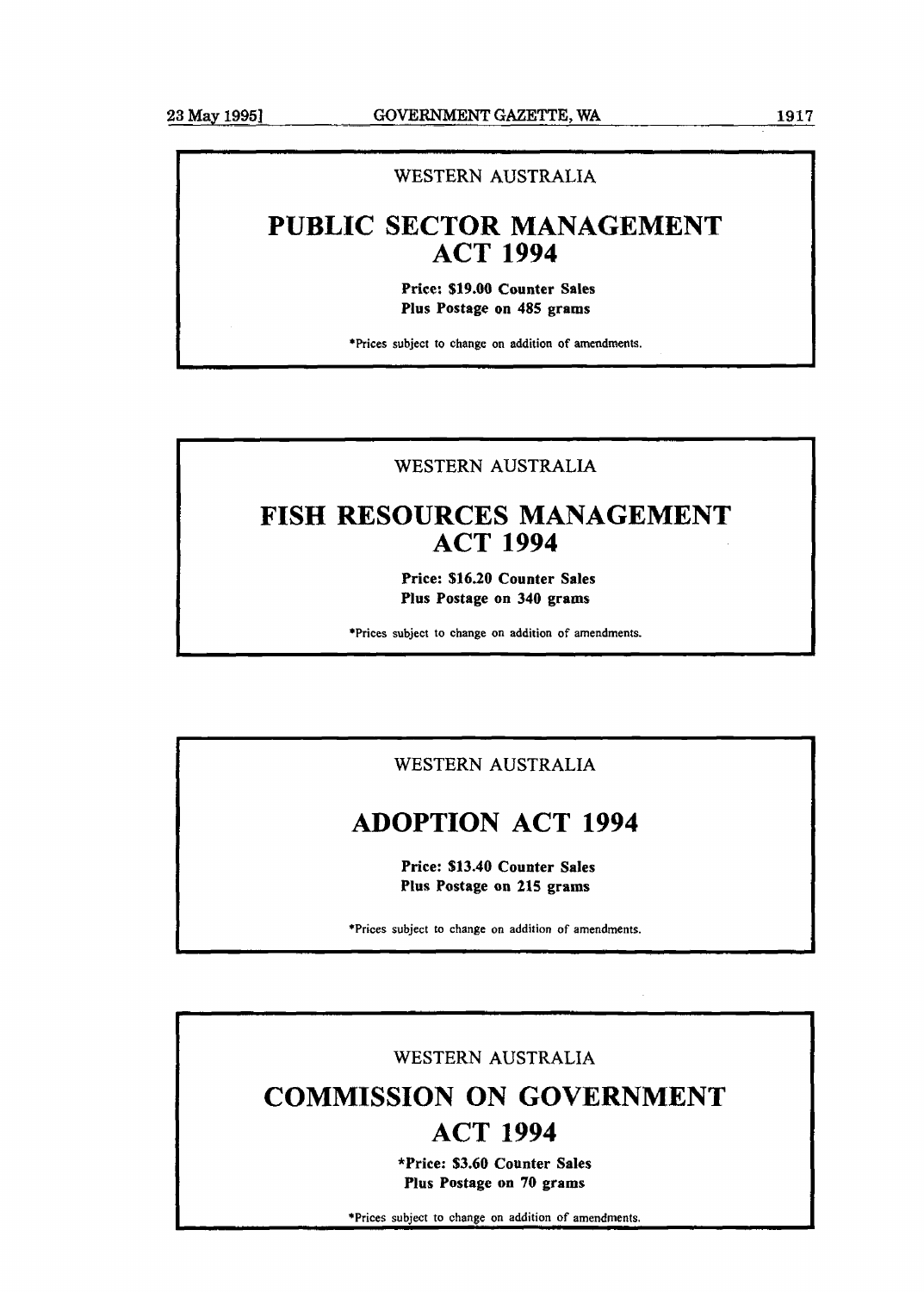**C** 

## WESTERN AUSTRALIA

## **PUBLIC SECTOR MANAGEMENT ACT 1994**

**Price: \$19.00 Counter Sales Plus Postage on 485 grams** 

\*Prices subject to change on addition **of** amendments.

## WESTERN AUSTRALIA

## **FISH RESOURCES MANAGEMENT ACT 1994**

**Price: \$16.20 Counter Sales Plus Postage on 340 grams** 

\*Prices subject to change on addition of amendments.

## WESTERN AUSTRALIA

## **ADOPTION ACT 1994**

**Price: \$13.40 Counter Sales Plus Postage on 215 grams** 

\*Prices subject to change on addition of amendments.

## WESTERN **AUSTRALIA**

## **COMMISSION ON GOVERNMENT ACT 1994**

**\*Price: \$3.60 Counter Sales Plus Postage on 70 grams** 

\*Prices subject to change on addition of amendments.